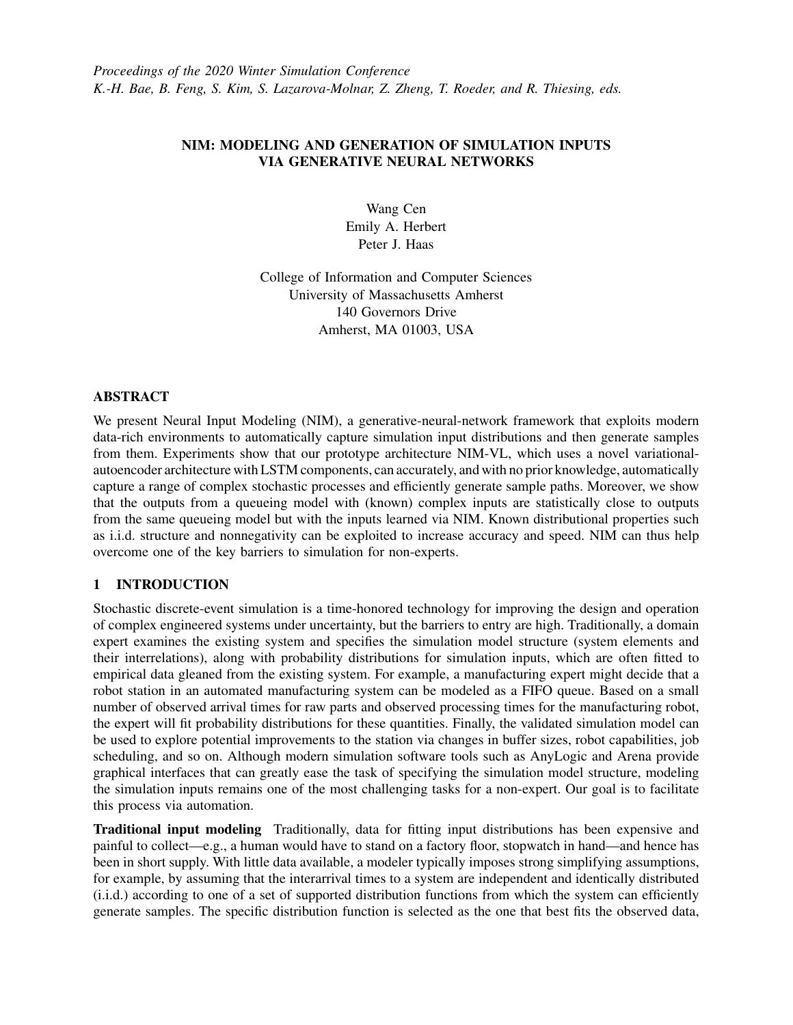# NIM: MODELING AND GENERATION OF SIMULATION INPUTS VIA GENERATIVE NEURAL NETWORKS

Wang Cen Emily A. Herbert Peter J. Haas

College of Information and Computer Sciences University of Massachusetts Amherst 140 Governors Drive Amherst, MA 01003, USA

## ABSTRACT

We present Neural Input Modeling (NIM), a generative-neural-network framework that exploits modern data-rich environments to automatically capture simulation input distributions and then generate samples from them. Experiments show that our prototype architecture NIM-VL, which uses a novel variationalautoencoder architecture with LSTM components, can accurately, and with no prior knowledge, automatically capture a range of complex stochastic processes and efficiently generate sample paths. Moreover, we show that the outputs from a queueing model with (known) complex inputs are statistically close to outputs from the same queueing model but with the inputs learned via NIM. Known distributional properties such as i.i.d. structure and nonnegativity can be exploited to increase accuracy and speed. NIM can thus help overcome one of the key barriers to simulation for non-experts.

# 1 INTRODUCTION

Stochastic discrete-event simulation is a time-honored technology for improving the design and operation of complex engineered systems under uncertainty, but the barriers to entry are high. Traditionally, a domain expert examines the existing system and specifies the simulation model structure (system elements and their interrelations), along with probability distributions for simulation inputs, which are often fitted to empirical data gleaned from the existing system. For example, a manufacturing expert might decide that a robot station in an automated manufacturing system can be modeled as a FIFO queue. Based on a small number of observed arrival times for raw parts and observed processing times for the manufacturing robot, the expert will fit probability distributions for these quantities. Finally, the validated simulation model can be used to explore potential improvements to the station via changes in buffer sizes, robot capabilities, job scheduling, and so on. Although modern simulation software tools such as AnyLogic and Arena provide graphical interfaces that can greatly ease the task of specifying the simulation model structure, modeling the simulation inputs remains one of the most challenging tasks for a non-expert. Our goal is to facilitate this process via automation.

Traditional input modeling Traditionally, data for fitting input distributions has been expensive and painful to collect—e.g., a human would have to stand on a factory floor, stopwatch in hand—and hence has been in short supply. With little data available, a modeler typically imposes strong simplifying assumptions, for example, by assuming that the interarrival times to a system are independent and identically distributed (i.i.d.) according to one of a set of supported distribution functions from which the system can efficiently generate samples. The specific distribution function is selected as the one that best fits the observed data,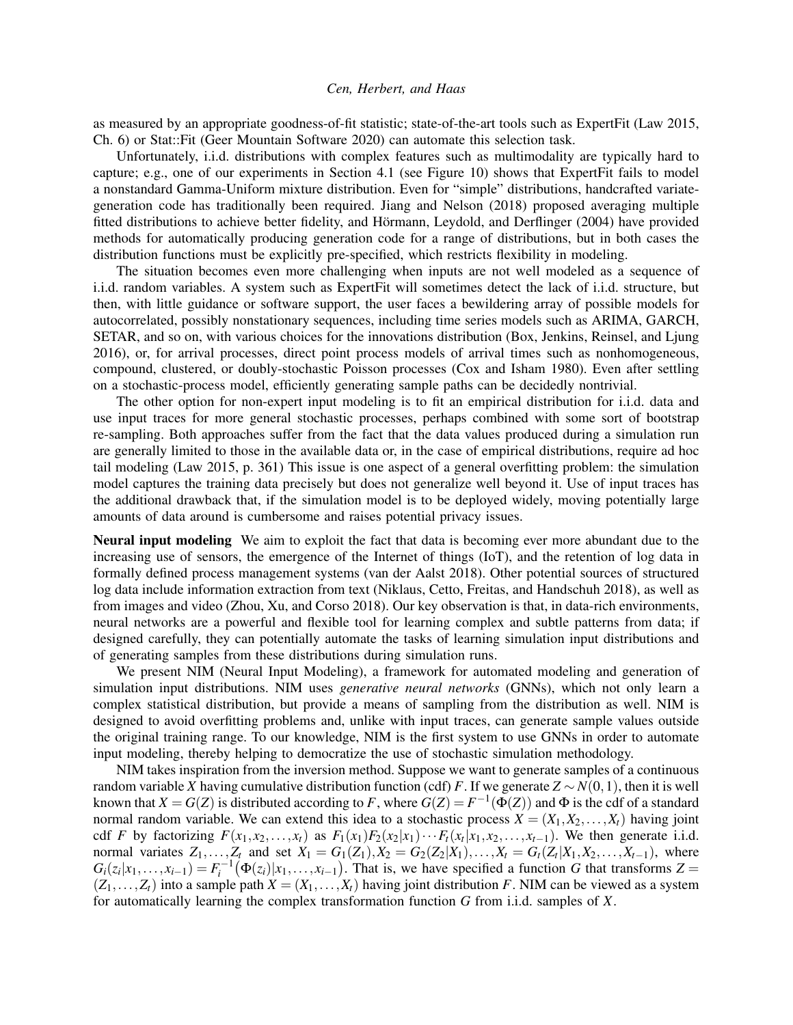as measured by an appropriate goodness-of-fit statistic; state-of-the-art tools such as ExpertFit [\(Law 2015,](#page-11-0) Ch. 6) or Stat::Fit [\(Geer Mountain Software 2020\)](#page-11-1) can automate this selection task.

Unfortunately, i.i.d. distributions with complex features such as multimodality are typically hard to capture; e.g., one of our experiments in Section [4.1](#page-7-0) (see Figure [10\)](#page-10-0) shows that ExpertFit fails to model a nonstandard Gamma-Uniform mixture distribution. Even for "simple" distributions, handcrafted variategeneration code has traditionally been required. [Jiang and Nelson \(2018\)](#page-11-2) proposed averaging multiple fitted distributions to achieve better fidelity, and Hörmann, Leydold, and Derflinger (2004) have provided methods for automatically producing generation code for a range of distributions, but in both cases the distribution functions must be explicitly pre-specified, which restricts flexibility in modeling.

The situation becomes even more challenging when inputs are not well modeled as a sequence of i.i.d. random variables. A system such as ExpertFit will sometimes detect the lack of i.i.d. structure, but then, with little guidance or software support, the user faces a bewildering array of possible models for autocorrelated, possibly nonstationary sequences, including time series models such as ARIMA, GARCH, SETAR, and so on, with various choices for the innovations distribution [\(Box, Jenkins, Reinsel, and Ljung](#page-11-4) [2016\)](#page-11-4), or, for arrival processes, direct point process models of arrival times such as nonhomogeneous, compound, clustered, or doubly-stochastic Poisson processes [\(Cox and Isham 1980\)](#page-11-5). Even after settling on a stochastic-process model, efficiently generating sample paths can be decidedly nontrivial.

The other option for non-expert input modeling is to fit an empirical distribution for i.i.d. data and use input traces for more general stochastic processes, perhaps combined with some sort of bootstrap re-sampling. Both approaches suffer from the fact that the data values produced during a simulation run are generally limited to those in the available data or, in the case of empirical distributions, require ad hoc tail modeling [\(Law 2015,](#page-11-0) p. 361) This issue is one aspect of a general overfitting problem: the simulation model captures the training data precisely but does not generalize well beyond it. Use of input traces has the additional drawback that, if the simulation model is to be deployed widely, moving potentially large amounts of data around is cumbersome and raises potential privacy issues.

Neural input modeling We aim to exploit the fact that data is becoming ever more abundant due to the increasing use of sensors, the emergence of the Internet of things (IoT), and the retention of log data in formally defined process management systems [\(van der Aalst 2018\)](#page-11-6). Other potential sources of structured log data include information extraction from text [\(Niklaus, Cetto, Freitas, and Handschuh 2018\)](#page-11-7), as well as from images and video [\(Zhou, Xu, and Corso 2018\)](#page-11-8). Our key observation is that, in data-rich environments, neural networks are a powerful and flexible tool for learning complex and subtle patterns from data; if designed carefully, they can potentially automate the tasks of learning simulation input distributions and of generating samples from these distributions during simulation runs.

We present NIM (Neural Input Modeling), a framework for automated modeling and generation of simulation input distributions. NIM uses *generative neural networks* (GNNs), which not only learn a complex statistical distribution, but provide a means of sampling from the distribution as well. NIM is designed to avoid overfitting problems and, unlike with input traces, can generate sample values outside the original training range. To our knowledge, NIM is the first system to use GNNs in order to automate input modeling, thereby helping to democratize the use of stochastic simulation methodology.

NIM takes inspiration from the inversion method. Suppose we want to generate samples of a continuous random variable *X* having cumulative distribution function (cdf) *F*. If we generate  $Z \sim N(0,1)$ , then it is well known that  $X = G(Z)$  is distributed according to F, where  $G(Z) = F^{-1}(\Phi(Z))$  and  $\Phi$  is the cdf of a standard normal random variable. We can extend this idea to a stochastic process  $X = (X_1, X_2, \ldots, X_t)$  having joint cdf F by factorizing  $F(x_1, x_2,...,x_t)$  as  $F_1(x_1)F_2(x_2|x_1)\cdots F_t(x_t|x_1, x_2,...,x_{t-1})$ . We then generate i.i.d. normal variates  $Z_1, ..., Z_t$  and set  $X_1 = G_1(Z_1), X_2 = G_2(Z_2|X_1), ..., X_t = G_t(Z_t|X_1, X_2, ..., X_{t-1}),$  where  $G_i(z_i|x_1,\ldots,x_{i-1}) = F_i^{-1}(\Phi(z_i)|x_1,\ldots,x_{i-1})$ . That is, we have specified a function *G* that transforms  $Z =$  $(Z_1,...,Z_t)$  into a sample path  $X = (X_1,...,X_t)$  having joint distribution *F*. NIM can be viewed as a system for automatically learning the complex transformation function *G* from i.i.d. samples of *X*.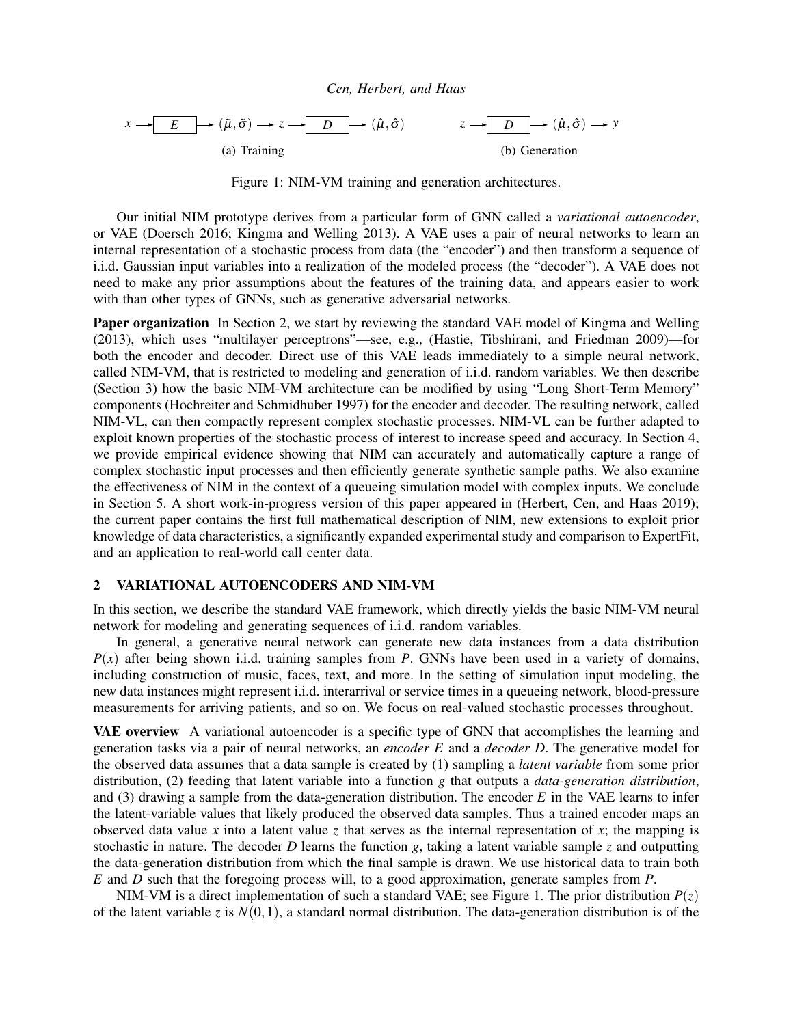<span id="page-2-1"></span>

Figure 1: NIM-VM training and generation architectures.

Our initial NIM prototype derives from a particular form of GNN called a *variational autoencoder*, or VAE [\(Doersch 2016;](#page-11-9) [Kingma and Welling 2013\)](#page-11-10). A VAE uses a pair of neural networks to learn an internal representation of a stochastic process from data (the "encoder") and then transform a sequence of i.i.d. Gaussian input variables into a realization of the modeled process (the "decoder"). A VAE does not need to make any prior assumptions about the features of the training data, and appears easier to work with than other types of GNNs, such as generative adversarial networks.

Paper organization In Section [2,](#page-2-0) we start by reviewing the standard VAE model of [Kingma and Welling](#page-11-10) [\(2013\),](#page-11-10) which uses "multilayer perceptrons"—see, e.g., [\(Hastie, Tibshirani, and Friedman 2009\)](#page-11-11)—for both the encoder and decoder. Direct use of this VAE leads immediately to a simple neural network, called NIM-VM, that is restricted to modeling and generation of i.i.d. random variables. We then describe (Section [3\)](#page-4-0) how the basic NIM-VM architecture can be modified by using "Long Short-Term Memory" components [\(Hochreiter and Schmidhuber 1997\)](#page-11-12) for the encoder and decoder. The resulting network, called NIM-VL, can then compactly represent complex stochastic processes. NIM-VL can be further adapted to exploit known properties of the stochastic process of interest to increase speed and accuracy. In Section [4,](#page-7-1) we provide empirical evidence showing that NIM can accurately and automatically capture a range of complex stochastic input processes and then efficiently generate synthetic sample paths. We also examine the effectiveness of NIM in the context of a queueing simulation model with complex inputs. We conclude in Section [5.](#page-11-13) A short work-in-progress version of this paper appeared in [\(Herbert, Cen, and Haas 2019\)](#page-11-14); the current paper contains the first full mathematical description of NIM, new extensions to exploit prior knowledge of data characteristics, a significantly expanded experimental study and comparison to ExpertFit, and an application to real-world call center data.

## <span id="page-2-0"></span>2 VARIATIONAL AUTOENCODERS AND NIM-VM

In this section, we describe the standard VAE framework, which directly yields the basic NIM-VM neural network for modeling and generating sequences of i.i.d. random variables.

In general, a generative neural network can generate new data instances from a data distribution  $P(x)$  after being shown i.i.d. training samples from *P*. GNNs have been used in a variety of domains, including construction of music, faces, text, and more. In the setting of simulation input modeling, the new data instances might represent i.i.d. interarrival or service times in a queueing network, blood-pressure measurements for arriving patients, and so on. We focus on real-valued stochastic processes throughout.

VAE overview A variational autoencoder is a specific type of GNN that accomplishes the learning and generation tasks via a pair of neural networks, an *encoder E* and a *decoder D*. The generative model for the observed data assumes that a data sample is created by (1) sampling a *latent variable* from some prior distribution, (2) feeding that latent variable into a function *g* that outputs a *data-generation distribution*, and (3) drawing a sample from the data-generation distribution. The encoder *E* in the VAE learns to infer the latent-variable values that likely produced the observed data samples. Thus a trained encoder maps an observed data value x into a latent value z that serves as the internal representation of x; the mapping is stochastic in nature. The decoder *D* learns the function *g*, taking a latent variable sample *z* and outputting the data-generation distribution from which the final sample is drawn. We use historical data to train both *E* and *D* such that the foregoing process will, to a good approximation, generate samples from *P*.

NIM-VM is a direct implementation of such a standard VAE; see Figure [1.](#page-2-1) The prior distribution  $P(z)$ of the latent variable *z* is  $N(0,1)$ , a standard normal distribution. The data-generation distribution is of the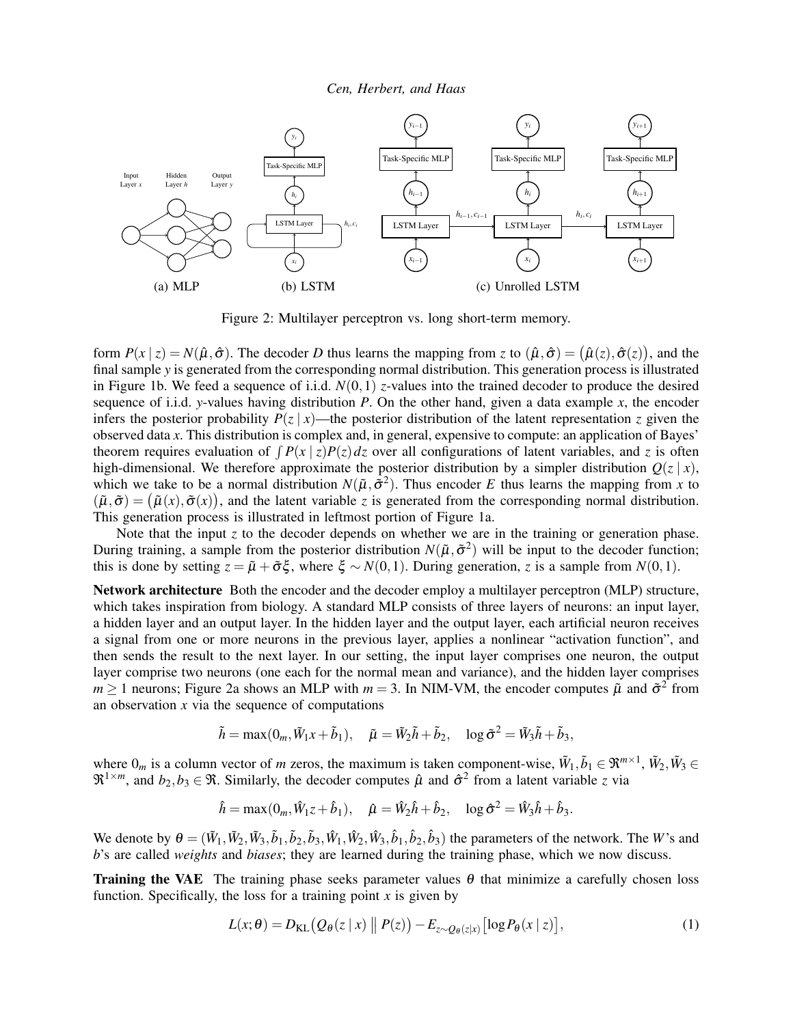<span id="page-3-0"></span>

Figure 2: Multilayer perceptron vs. long short-term memory.

form  $P(x | z) = N(\hat{\mu}, \hat{\sigma})$ . The decoder *D* thus learns the mapping from *z* to  $(\hat{\mu}, \hat{\sigma}) = (\hat{\mu}(z), \hat{\sigma}(z))$ , and the final sample *y* is generated from the corresponding normal distribution. This generation process is illustrated in Figure [1b.](#page-2-1) We feed a sequence of i.i.d. *N*(0,1) *z*-values into the trained decoder to produce the desired sequence of i.i.d. *y*-values having distribution *P*. On the other hand, given a data example *x*, the encoder infers the posterior probability  $P(z | x)$ —the posterior distribution of the latent representation *z* given the observed data *x*. This distribution is complex and, in general, expensive to compute: an application of Bayes' theorem requires evaluation of  $\int P(x | z)P(z) dz$  over all configurations of latent variables, and *z* is often high-dimensional. We therefore approximate the posterior distribution by a simpler distribution  $O(z | x)$ , which we take to be a normal distribution  $N(\tilde{\mu}, \tilde{\sigma}^2)$ . Thus encoder *E* thus learns the mapping from *x* to  $(\tilde{\mu}, \tilde{\sigma}) = (\tilde{\mu}(x), \tilde{\sigma}(x))$ , and the latent variable *z* is generated from the corresponding normal distribution. This generation process is illustrated in leftmost portion of Figure [1a.](#page-2-1)

Note that the input *z* to the decoder depends on whether we are in the training or generation phase. During training, a sample from the posterior distribution  $N(\tilde{\mu}, \tilde{\sigma}^2)$  will be input to the decoder function; this is done by setting  $z = \tilde{\mu} + \tilde{\sigma}\xi$ , where  $\xi \sim N(0,1)$ . During generation, *z* is a sample from  $N(0,1)$ .

Network architecture Both the encoder and the decoder employ a multilayer perceptron (MLP) structure, which takes inspiration from biology. A standard MLP consists of three layers of neurons: an input layer, a hidden layer and an output layer. In the hidden layer and the output layer, each artificial neuron receives a signal from one or more neurons in the previous layer, applies a nonlinear "activation function", and then sends the result to the next layer. In our setting, the input layer comprises one neuron, the output layer comprise two neurons (one each for the normal mean and variance), and the hidden layer comprises  $m \ge 1$  neurons; Figure [2a](#page-3-0) shows an MLP with  $m = 3$ . In NIM-VM, the encoder computes  $\tilde{\mu}$  and  $\tilde{\sigma}^2$  from an observation *x* via the sequence of computations

$$
\tilde{h} = \max(0_m, \tilde{W}_1 x + \tilde{b}_1), \quad \tilde{\mu} = \tilde{W}_2 \tilde{h} + \tilde{b}_2, \quad \log \tilde{\sigma}^2 = \tilde{W}_3 \tilde{h} + \tilde{b}_3,
$$

where  $0_m$  is a column vector of *m* zeros, the maximum is taken component-wise,  $\tilde{W}_1, \tilde{b}_1 \in \mathbb{R}^{m \times 1}$ ,  $\tilde{W}_2, \tilde{W}_3 \in$  $\mathfrak{R}^{1 \times m}$ , and  $b_2, b_3 \in \mathfrak{R}$ . Similarly, the decoder computes  $\hat{\mu}$  and  $\hat{\sigma}^2$  from a latent variable *z* via

$$
\hat{h} = \max(0_m, \hat{W}_{1z} + \hat{b}_1), \quad \hat{\mu} = \hat{W}_{2}\hat{h} + \hat{b}_2, \quad \log \hat{\sigma}^2 = \hat{W}_{3}\hat{h} + \hat{b}_3.
$$

We denote by  $\theta = (\tilde{W}_1, \tilde{W}_2, \tilde{W}_3, \tilde{b}_1, \tilde{b}_2, \tilde{b}_3, \hat{W}_1, \hat{W}_2, \hat{W}_3, \hat{b}_1, \hat{b}_2, \hat{b}_3)$  the parameters of the network. The *W*'s and *b*'s are called *weights* and *biases*; they are learned during the training phase, which we now discuss.

**Training the VAE** The training phase seeks parameter values  $\theta$  that minimize a carefully chosen loss function. Specifically, the loss for a training point  $x$  is given by

<span id="page-3-1"></span>
$$
L(x; \theta) = D_{\text{KL}}(Q_{\theta}(z \mid x) \parallel P(z)) - E_{z \sim Q_{\theta}(z \mid x)} [\log P_{\theta}(x \mid z)], \qquad (1)
$$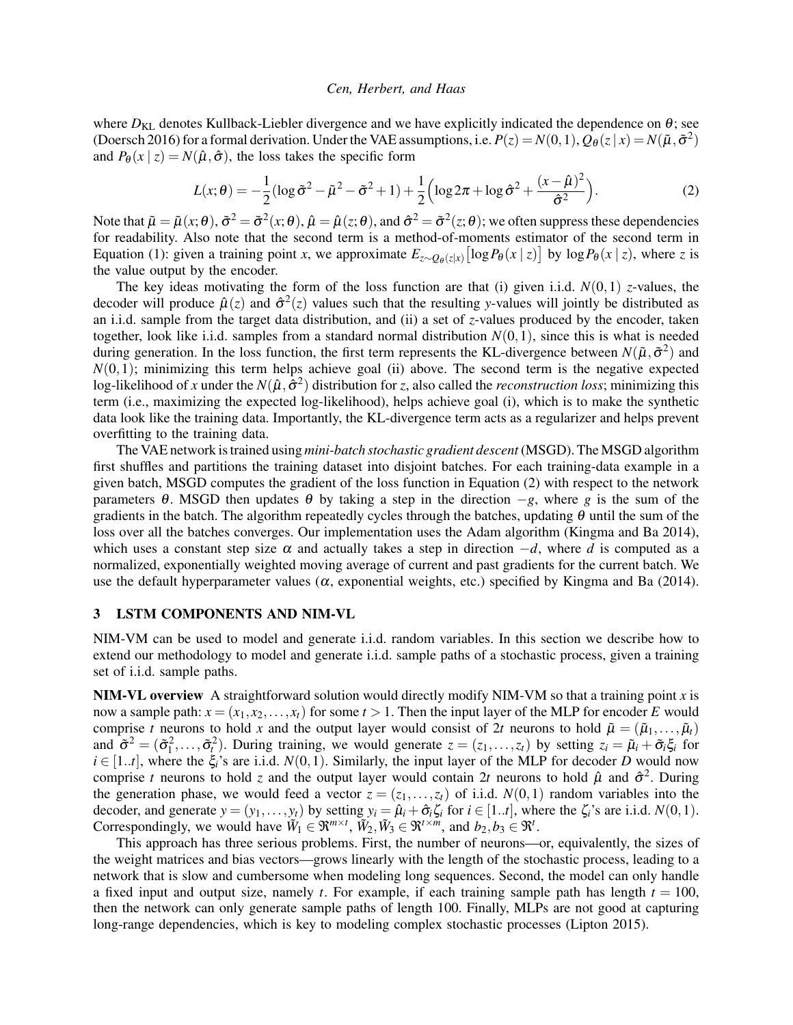where  $D_{KL}$  denotes Kullback-Liebler divergence and we have explicitly indicated the dependence on  $\theta$ ; see [\(Doersch 2016\)](#page-11-9) for a formal derivation. Under the VAE assumptions, i.e.  $P(z) = N(0,1)$ ,  $Q_{\theta}(z|x) = N(\tilde{\mu}, \tilde{\sigma}^2)$ and  $P_{\theta}(x \mid z) = N(\hat{\mu}, \hat{\sigma})$ , the loss takes the specific form

<span id="page-4-1"></span>
$$
L(x; \theta) = -\frac{1}{2} (\log \tilde{\sigma}^2 - \tilde{\mu}^2 - \tilde{\sigma}^2 + 1) + \frac{1}{2} \left( \log 2\pi + \log \hat{\sigma}^2 + \frac{(x - \hat{\mu})^2}{\hat{\sigma}^2} \right).
$$
 (2)

Note that  $\tilde{\mu} = \tilde{\mu}(x;\theta), \tilde{\sigma}^2 = \tilde{\sigma}^2(x;\theta), \hat{\mu} = \hat{\mu}(z;\theta),$  and  $\hat{\sigma}^2 = \tilde{\sigma}^2(z;\theta)$ ; we often suppress these dependencies for readability. Also note that the second term is a method-of-moments estimator of the second term in Equation [\(1\)](#page-3-1): given a training point *x*, we approximate  $E_{z \sim Q_{\theta}(z|x)} [\log P_{\theta}(x | z)]$  by  $\log P_{\theta}(x | z)$ , where *z* is the value output by the encoder.

The key ideas motivating the form of the loss function are that (i) given i.i.d.  $N(0,1)$  *z*-values, the decoder will produce  $\hat{\mu}(z)$  and  $\hat{\sigma}^2(z)$  values such that the resulting *y*-values will jointly be distributed as an i.i.d. sample from the target data distribution, and (ii) a set of *z*-values produced by the encoder, taken together, look like i.i.d. samples from a standard normal distribution  $N(0,1)$ , since this is what is needed during generation. In the loss function, the first term represents the KL-divergence between  $N(\tilde{\mu}, \tilde{\sigma}^2)$  and  $N(0,1)$ ; minimizing this term helps achieve goal (ii) above. The second term is the negative expected log-likelihood of *x* under the  $N(\hat{\mu}, \hat{\sigma}^2)$  distribution for *z*, also called the *reconstruction loss*; minimizing this term (i.e., maximizing the expected log-likelihood), helps achieve goal (i), which is to make the synthetic data look like the training data. Importantly, the KL-divergence term acts as a regularizer and helps prevent overfitting to the training data.

The VAE network is trained using *mini-batch stochastic gradient descent* (MSGD). The MSGD algorithm first shuffles and partitions the training dataset into disjoint batches. For each training-data example in a given batch, MSGD computes the gradient of the loss function in Equation [\(2\)](#page-4-1) with respect to the network parameters  $\theta$ . MSGD then updates  $\theta$  by taking a step in the direction  $-g$ , where *g* is the sum of the gradients in the batch. The algorithm repeatedly cycles through the batches, updating  $\theta$  until the sum of the loss over all the batches converges. Our implementation uses the Adam algorithm [\(Kingma and Ba 2014\)](#page-11-15), which uses a constant step size  $\alpha$  and actually takes a step in direction  $-d$ , where *d* is computed as a normalized, exponentially weighted moving average of current and past gradients for the current batch. We use the default hyperparameter values  $(\alpha,$  exponential weights, etc.) specified by [Kingma and Ba \(2014\).](#page-11-15)

### <span id="page-4-0"></span>3 LSTM COMPONENTS AND NIM-VL

NIM-VM can be used to model and generate i.i.d. random variables. In this section we describe how to extend our methodology to model and generate i.i.d. sample paths of a stochastic process, given a training set of i.i.d. sample paths.

NIM-VL overview A straightforward solution would directly modify NIM-VM so that a training point *x* is now a sample path:  $x = (x_1, x_2, \ldots, x_t)$  for some  $t > 1$ . Then the input layer of the MLP for encoder *E* would comprise *t* neurons to hold *x* and the output layer would consist of 2*t* neurons to hold  $\tilde{\mu} = (\tilde{\mu}_1, \dots, \tilde{\mu}_t)$ and  $\tilde{\sigma}^2 = (\tilde{\sigma}_1^2, \ldots, \tilde{\sigma}_t^2)$ . During training, we would generate  $z = (z_1, \ldots, z_t)$  by setting  $z_i = \tilde{\mu}_i + \tilde{\sigma}_i \xi_i$  for  $i \in [1..t]$ , where the  $\xi_i$ 's are i.i.d.  $N(0,1)$ . Similarly, the input layer of the MLP for decoder *D* would now comprise *t* neurons to hold *z* and the output layer would contain 2*t* neurons to hold  $\hat{\mu}$  and  $\hat{\sigma}^2$ . During the generation phase, we would feed a vector  $z = (z_1, \ldots, z_t)$  of i.i.d.  $N(0, 1)$  random variables into the decoder, and generate  $y = (y_1, \ldots, y_t)$  by setting  $y_i = \hat{\mu}_i + \hat{\sigma}_i \zeta_i$  for  $i \in [1..t]$ , where the  $\zeta_i$ 's are i.i.d.  $N(0,1)$ . Correspondingly, we would have  $\widetilde{W}_1 \in \mathfrak{R}^{m \times t}$ ,  $\widetilde{W}_2, \widetilde{W}_3 \in \mathfrak{R}^{t \times m}$ , and  $b_2, b_3 \in \mathfrak{R}^t$ .

This approach has three serious problems. First, the number of neurons—or, equivalently, the sizes of the weight matrices and bias vectors—grows linearly with the length of the stochastic process, leading to a network that is slow and cumbersome when modeling long sequences. Second, the model can only handle a fixed input and output size, namely *t*. For example, if each training sample path has length  $t = 100$ , then the network can only generate sample paths of length 100. Finally, MLPs are not good at capturing long-range dependencies, which is key to modeling complex stochastic processes [\(Lipton 2015\)](#page-11-16).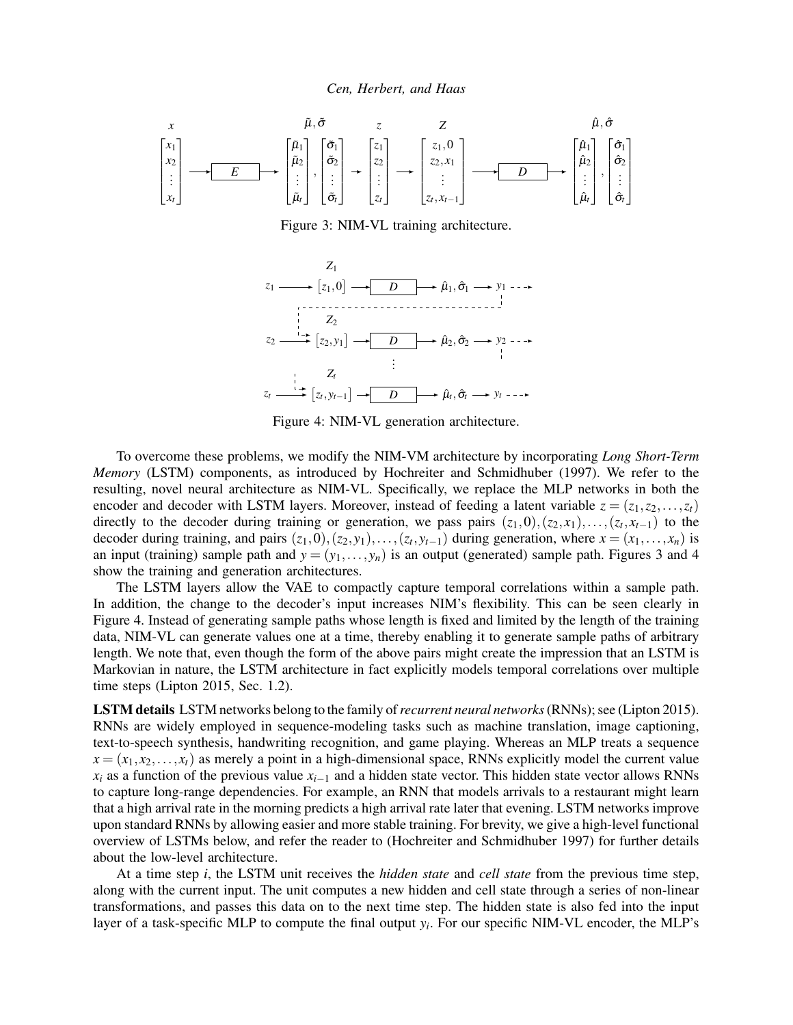<span id="page-5-1"></span><span id="page-5-0"></span>

Figure 3: NIM-VL training architecture.



Figure 4: NIM-VL generation architecture.

To overcome these problems, we modify the NIM-VM architecture by incorporating *Long Short-Term Memory* (LSTM) components, as introduced by [Hochreiter and Schmidhuber \(1997\).](#page-11-12) We refer to the resulting, novel neural architecture as NIM-VL. Specifically, we replace the MLP networks in both the encoder and decoder with LSTM layers. Moreover, instead of feeding a latent variable  $z = (z_1, z_2, \ldots, z_t)$ directly to the decoder during training or generation, we pass pairs  $(z_1,0),(z_2,x_1),\ldots,(z_t,x_{t-1})$  to the decoder during training, and pairs  $(z_1,0),(z_2,y_1),\ldots,(z_t,y_{t-1})$  during generation, where  $x=(x_1,\ldots,x_n)$  is an input (training) sample path and  $y = (y_1, \ldots, y_n)$  is an output (generated) sample path. Figures [3](#page-5-0) and [4](#page-5-1) show the training and generation architectures.

The LSTM layers allow the VAE to compactly capture temporal correlations within a sample path. In addition, the change to the decoder's input increases NIM's flexibility. This can be seen clearly in Figure [4.](#page-5-1) Instead of generating sample paths whose length is fixed and limited by the length of the training data, NIM-VL can generate values one at a time, thereby enabling it to generate sample paths of arbitrary length. We note that, even though the form of the above pairs might create the impression that an LSTM is Markovian in nature, the LSTM architecture in fact explicitly models temporal correlations over multiple time steps [\(Lipton 2015,](#page-11-16) Sec. 1.2).

LSTM details LSTM networks belong to the family of*recurrent neural networks*(RNNs); see [\(Lipton 2015\)](#page-11-16). RNNs are widely employed in sequence-modeling tasks such as machine translation, image captioning, text-to-speech synthesis, handwriting recognition, and game playing. Whereas an MLP treats a sequence  $x = (x_1, x_2, \ldots, x_t)$  as merely a point in a high-dimensional space, RNNs explicitly model the current value  $x_i$  as a function of the previous value  $x_{i-1}$  and a hidden state vector. This hidden state vector allows RNNs to capture long-range dependencies. For example, an RNN that models arrivals to a restaurant might learn that a high arrival rate in the morning predicts a high arrival rate later that evening. LSTM networks improve upon standard RNNs by allowing easier and more stable training. For brevity, we give a high-level functional overview of LSTMs below, and refer the reader to [\(Hochreiter and Schmidhuber 1997\)](#page-11-12) for further details about the low-level architecture.

At a time step *i*, the LSTM unit receives the *hidden state* and *cell state* from the previous time step, along with the current input. The unit computes a new hidden and cell state through a series of non-linear transformations, and passes this data on to the next time step. The hidden state is also fed into the input layer of a task-specific MLP to compute the final output *y<sup>i</sup>* . For our specific NIM-VL encoder, the MLP's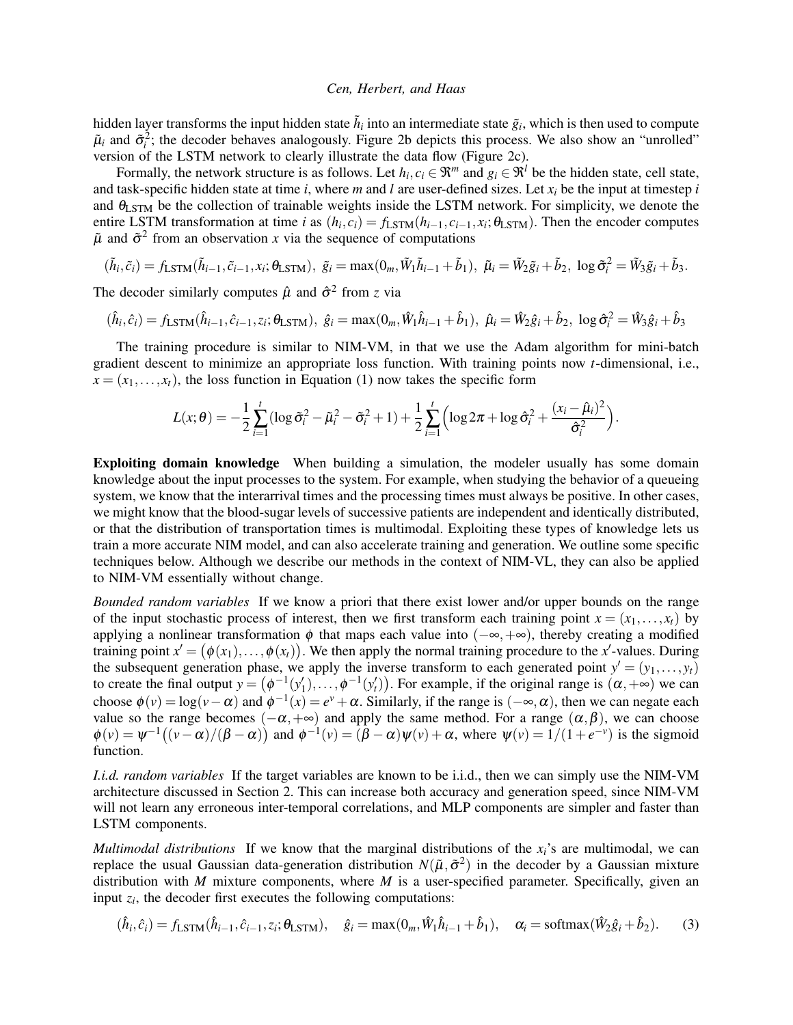hidden layer transforms the input hidden state  $\tilde{h}_i$  into an intermediate state  $\tilde{g}_i$ , which is then used to compute  $\tilde{\mu}_i$  and  $\tilde{\sigma}_i^2$ ; the decoder behaves analogously. Figure [2b](#page-3-0) depicts this process. We also show an "unrolled" version of the LSTM network to clearly illustrate the data flow (Figure [2c\)](#page-3-0).

Formally, the network structure is as follows. Let  $h_i, c_i \in \mathbb{R}^m$  and  $g_i \in \mathbb{R}^l$  be the hidden state, cell state, and task-specific hidden state at time *i*, where *m* and *l* are user-defined sizes. Let *x<sup>i</sup>* be the input at timestep *i* and  $\theta_{\text{LSTM}}$  be the collection of trainable weights inside the LSTM network. For simplicity, we denote the entire LSTM transformation at time *i* as  $(h_i, c_i) = f_{\text{LSTM}}(h_{i-1}, c_{i-1}, x_i; \theta_{\text{LSTM}})$ . Then the encoder computes  $\tilde{\mu}$  and  $\tilde{\sigma}^2$  from an observation *x* via the sequence of computations

$$
(\tilde{h}_i, \tilde{c}_i) = f_{\text{LSTM}}(\tilde{h}_{i-1}, \tilde{c}_{i-1}, x_i; \theta_{\text{LSTM}}), \ \tilde{g}_i = \max(0_m, \tilde{W}_1 \tilde{h}_{i-1} + \tilde{b}_1), \ \tilde{\mu}_i = \tilde{W}_2 \tilde{g}_i + \tilde{b}_2, \ \log \tilde{\sigma}_i^2 = \tilde{W}_3 \tilde{g}_i + \tilde{b}_3.
$$

The decoder similarly computes  $\hat{\mu}$  and  $\hat{\sigma}^2$  from *z* via

$$
(\hat{h}_i, \hat{c}_i) = f_{\text{LSTM}}(\hat{h}_{i-1}, \hat{c}_{i-1}, z_i; \theta_{\text{LSTM}}), \ \hat{g}_i = \max(0_m, \hat{W}_1 \hat{h}_{i-1} + \hat{b}_1), \ \hat{\mu}_i = \hat{W}_2 \hat{g}_i + \hat{b}_2, \ \log \hat{\sigma}_i^2 = \hat{W}_3 \hat{g}_i + \hat{b}_3
$$

The training procedure is similar to NIM-VM, in that we use the Adam algorithm for mini-batch gradient descent to minimize an appropriate loss function. With training points now *t*-dimensional, i.e.,  $x = (x_1, \ldots, x_t)$ , the loss function in Equation [\(1\)](#page-3-1) now takes the specific form

$$
L(x; \theta) = -\frac{1}{2} \sum_{i=1}^{t} (\log \tilde{\sigma}_i^2 - \tilde{\mu}_i^2 - \tilde{\sigma}_i^2 + 1) + \frac{1}{2} \sum_{i=1}^{t} (\log 2\pi + \log \hat{\sigma}_i^2 + \frac{(x_i - \hat{\mu}_i)^2}{\hat{\sigma}_i^2}).
$$

Exploiting domain knowledge When building a simulation, the modeler usually has some domain knowledge about the input processes to the system. For example, when studying the behavior of a queueing system, we know that the interarrival times and the processing times must always be positive. In other cases, we might know that the blood-sugar levels of successive patients are independent and identically distributed, or that the distribution of transportation times is multimodal. Exploiting these types of knowledge lets us train a more accurate NIM model, and can also accelerate training and generation. We outline some specific techniques below. Although we describe our methods in the context of NIM-VL, they can also be applied to NIM-VM essentially without change.

*Bounded random variables* If we know a priori that there exist lower and/or upper bounds on the range of the input stochastic process of interest, then we first transform each training point  $x = (x_1, \ldots, x_t)$  by applying a nonlinear transformation  $\phi$  that maps each value into ( $-\infty, +\infty$ ), thereby creating a modified training point  $x' = (\phi(x_1), \ldots, \phi(x_t))$ . We then apply the normal training procedure to the *x*'-values. During the subsequent generation phase, we apply the inverse transform to each generated point  $y' = (y_1, \ldots, y_t)$ to create the final output  $y = (\phi^{-1}(y'_1), \dots, \phi^{-1}(y'_t))$ . For example, if the original range is  $(\alpha, +\infty)$  we can choose  $\phi(v) = \log(v - \alpha)$  and  $\phi^{-1}(x) = e^v + \alpha$ . Similarly, if the range is  $(-\infty, \alpha)$ , then we can negate each value so the range becomes  $(-\alpha, +\infty)$  and apply the same method. For a range  $(\alpha, \beta)$ , we can choose  $\phi(v) = \psi^{-1}((v - \alpha)/(\beta - \alpha))$  and  $\phi^{-1}(v) = (\beta - \alpha)\psi(v) + \alpha$ , where  $\psi(v) = 1/(1 + e^{-v})$  is the sigmoid function.

*I.i.d. random variables* If the target variables are known to be i.i.d., then we can simply use the NIM-VM architecture discussed in Section [2.](#page-2-0) This can increase both accuracy and generation speed, since NIM-VM will not learn any erroneous inter-temporal correlations, and MLP components are simpler and faster than LSTM components.

*Multimodal distributions* If we know that the marginal distributions of the  $x_i$ 's are multimodal, we can replace the usual Gaussian data-generation distribution  $N(\tilde{\mu}, \tilde{\sigma}^2)$  in the decoder by a Gaussian mixture distribution with *M* mixture components, where *M* is a user-specified parameter. Specifically, given an input  $z_i$ , the decoder first executes the following computations:

$$
(\hat{h}_i, \hat{c}_i) = f_{\text{LSTM}}(\hat{h}_{i-1}, \hat{c}_{i-1}, z_i; \theta_{\text{LSTM}}), \quad \hat{g}_i = \max(0_m, \hat{W}_1 \hat{h}_{i-1} + \hat{b}_1), \quad \alpha_i = \text{softmax}(\hat{W}_2 \hat{g}_i + \hat{b}_2). \tag{3}
$$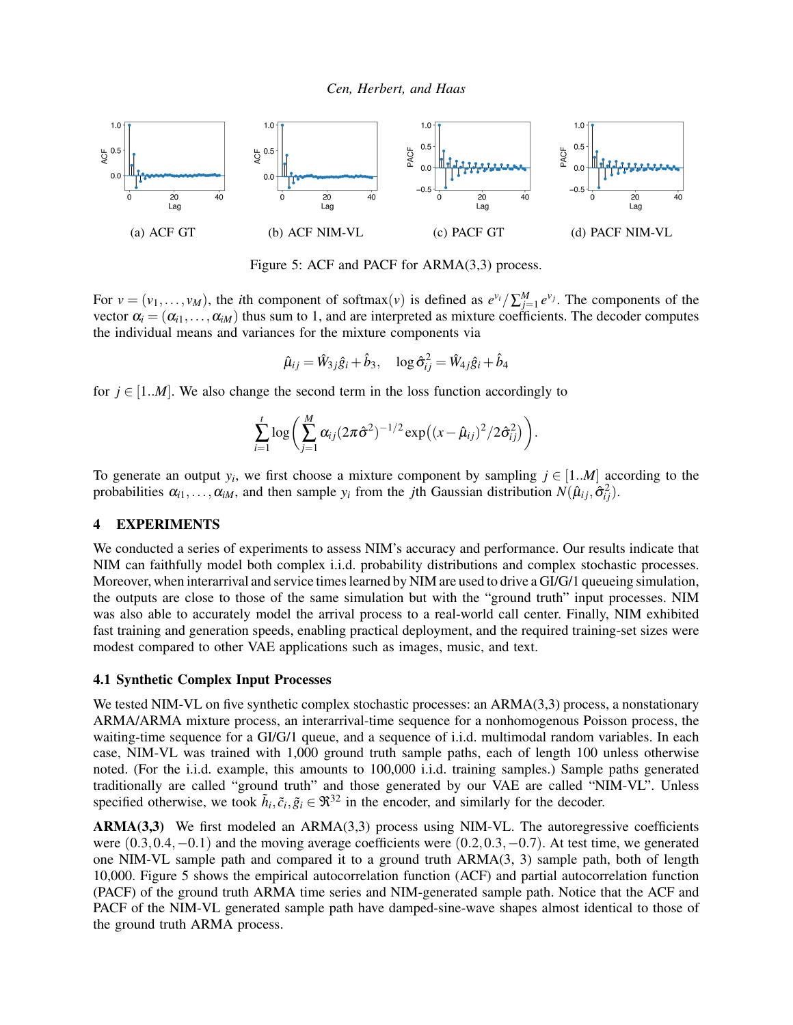<span id="page-7-2"></span>

Figure 5: ACF and PACF for ARMA(3,3) process.

For  $v = (v_1, \ldots, v_M)$ , the *i*th component of softmax $(v)$  is defined as  $e^{v_i}/\sum_{j=1}^M e^{v_j}$ . The components of the vector  $\alpha_i = (\alpha_{i1}, \ldots, \alpha_{iM})$  thus sum to 1, and are interpreted as mixture coefficients. The decoder computes the individual means and variances for the mixture components via

$$
\hat{\mu}_{ij} = \hat{W}_{3j}\hat{g}_i + \hat{b}_3, \quad \log \hat{\sigma}_{ij}^2 = \hat{W}_{4j}\hat{g}_i + \hat{b}_4
$$

for  $j \in [1..M]$ . We also change the second term in the loss function accordingly to

$$
\sum_{i=1}^{t} \log \left( \sum_{j=1}^{M} \alpha_{ij} (2\pi \hat{\sigma}^2)^{-1/2} \exp \left( (x - \hat{\mu}_{ij})^2 / 2 \hat{\sigma}_{ij}^2 \right) \right).
$$

To generate an output  $y_i$ , we first choose a mixture component by sampling  $j \in [1..M]$  according to the probabilities  $\alpha_{i1}, \ldots, \alpha_{iM}$ , and then sample  $y_i$  from the *j*th Gaussian distribution  $N(\hat{\mu}_{ij}, \hat{\sigma}_{ij}^2)$ .

#### <span id="page-7-1"></span>4 EXPERIMENTS

We conducted a series of experiments to assess NIM's accuracy and performance. Our results indicate that NIM can faithfully model both complex i.i.d. probability distributions and complex stochastic processes. Moreover, when interarrival and service times learned by NIM are used to drive a GI/G/1 queueing simulation, the outputs are close to those of the same simulation but with the "ground truth" input processes. NIM was also able to accurately model the arrival process to a real-world call center. Finally, NIM exhibited fast training and generation speeds, enabling practical deployment, and the required training-set sizes were modest compared to other VAE applications such as images, music, and text.

#### <span id="page-7-0"></span>4.1 Synthetic Complex Input Processes

We tested NIM-VL on five synthetic complex stochastic processes: an ARMA(3,3) process, a nonstationary ARMA/ARMA mixture process, an interarrival-time sequence for a nonhomogenous Poisson process, the waiting-time sequence for a GI/G/1 queue, and a sequence of i.i.d. multimodal random variables. In each case, NIM-VL was trained with 1,000 ground truth sample paths, each of length 100 unless otherwise noted. (For the i.i.d. example, this amounts to 100,000 i.i.d. training samples.) Sample paths generated traditionally are called "ground truth" and those generated by our VAE are called "NIM-VL". Unless specified otherwise, we took  $\tilde{h}_i, \tilde{c}_i, \tilde{g}_i \in \mathfrak{R}^{32}$  in the encoder, and similarly for the decoder.

ARMA(3,3) We first modeled an ARMA(3,3) process using NIM-VL. The autoregressive coefficients were (0.3,0.4,−0.1) and the moving average coefficients were (0.2,0.3,−0.7). At test time, we generated one NIM-VL sample path and compared it to a ground truth ARMA(3, 3) sample path, both of length 10,000. Figure [5](#page-7-2) shows the empirical autocorrelation function (ACF) and partial autocorrelation function (PACF) of the ground truth ARMA time series and NIM-generated sample path. Notice that the ACF and PACF of the NIM-VL generated sample path have damped-sine-wave shapes almost identical to those of the ground truth ARMA process.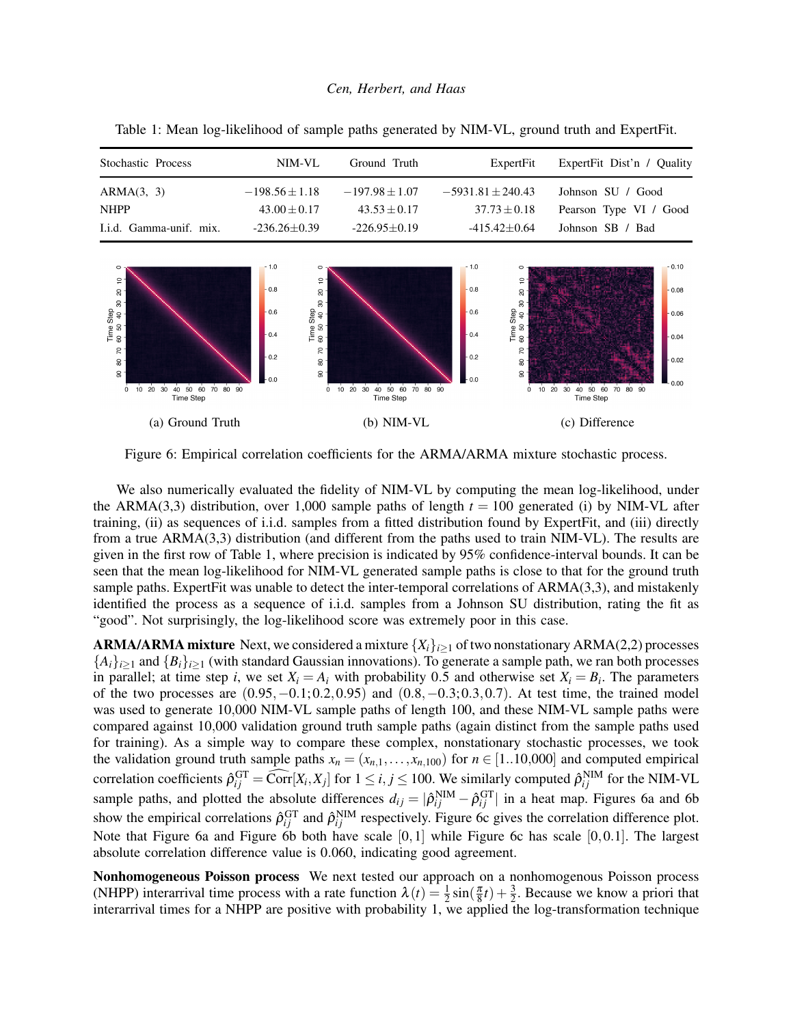| Stochastic Process      | NIM-VL             | Ground Truth       | ExpertFit             | ExpertFit Dist'n / Quality |
|-------------------------|--------------------|--------------------|-----------------------|----------------------------|
| ARMA(3, 3)              | $-198.56 \pm 1.18$ | $-197.98 \pm 1.07$ | $-5931.81 \pm 240.43$ | Johnson SU / Good          |
| <b>NHPP</b>             | $43.00 + 0.17$     | $43.53 + 0.17$     | $37.73 \pm 0.18$      | Pearson Type VI / Good     |
| I.i.d. Gamma-unif. mix. | $-236.26 \pm 0.39$ | $-226.95\pm0.19$   | $-415.42+0.64$        | Johnson SB / Bad           |

 $\frac{1}{2}$ 

 $\overline{\mathbf{a}}$ 

 $\rm s$ Time Step<br>60 50 40 3

8

 $0.8$ 

 $0.6$ 

 $0.4$ 

 $\epsilon$ 

 $\epsilon$ 

 $\infty$ 

 $\rm 8$ 

Time Step<br>60 50 40 3

 $\rm ^{60}$ 

 $0.8$ 

 $0.6$ 

 $04$ 

<span id="page-8-1"></span> $\frac{1}{2}$ 

 $\overline{a}$ 

 $\rm 8$ 

Time Step<br>60 50 40 3

8

 $0.10$ 

 $0.08$ 

 $0.06$ 

 $0.04$ 

<span id="page-8-0"></span>Table 1: Mean log-likelihood of sample paths generated by NIM-VL, ground truth and ExpertFit.

 $\overline{R}$  $\overline{R}$  $\overline{z}$  $_{0.2}$  $0.2$  $0.02$  $\tt Q$  $\mathbf{S}$ ន្ល  $\mathbf{S}$ ട്ട ഒ 10 20 30 40 50 60 70 80 10 20 30 40 50 60 70 80<br>Time Step  $\dot{o}$  $90^{\circ}$  $\dot{\mathbf{0}}$  $9C$  $10\ 20$ 30 40 50 60 70 80  $90$ Time Step (a) Ground Truth (b) NIM-VL (c) Difference

Figure 6: Empirical correlation coefficients for the ARMA/ARMA mixture stochastic process.

We also numerically evaluated the fidelity of NIM-VL by computing the mean log-likelihood, under the ARMA(3,3) distribution, over 1,000 sample paths of length  $t = 100$  generated (i) by NIM-VL after training, (ii) as sequences of i.i.d. samples from a fitted distribution found by ExpertFit, and (iii) directly from a true ARMA(3,3) distribution (and different from the paths used to train NIM-VL). The results are given in the first row of Table [1,](#page-8-0) where precision is indicated by 95% confidence-interval bounds. It can be seen that the mean log-likelihood for NIM-VL generated sample paths is close to that for the ground truth sample paths. ExpertFit was unable to detect the inter-temporal correlations of ARMA(3,3), and mistakenly identified the process as a sequence of i.i.d. samples from a Johnson SU distribution, rating the fit as "good". Not surprisingly, the log-likelihood score was extremely poor in this case.

**ARMA/ARMA mixture** Next, we considered a mixture  $\{X_i\}_{i\geq 1}$  of two nonstationary ARMA(2,2) processes  ${A_i}_{i>1}$  and  ${B_i}_{i>1}$  (with standard Gaussian innovations). To generate a sample path, we ran both processes in parallel; at time step *i*, we set  $X_i = A_i$  with probability 0.5 and otherwise set  $X_i = B_i$ . The parameters of the two processes are  $(0.95, -0.1; 0.2, 0.95)$  and  $(0.8, -0.3; 0.3, 0.7)$ . At test time, the trained model was used to generate 10,000 NIM-VL sample paths of length 100, and these NIM-VL sample paths were compared against 10,000 validation ground truth sample paths (again distinct from the sample paths used for training). As a simple way to compare these complex, nonstationary stochastic processes, we took the validation ground truth sample paths  $x_n = (x_{n,1},...,x_{n,100})$  for  $n \in [1..10,000]$  and computed empirical correlation coefficients  $\hat{\rho}_{ij}^{\text{GT}} = \widehat{\text{Corr}}[X_i, X_j]$  for  $1 \le i, j \le 100$ . We similarly computed  $\hat{\rho}_{ij}^{\text{NIM}}$  for the NIM-VL sample paths, and plotted the absolute differences  $d_{ij} = |\hat{\rho}_{ij}^{NIM} - \hat{\rho}_{ij}^{GT}|$  in a heat map. Figures [6a](#page-8-1) and [6b](#page-8-1) show the empirical correlations  $\hat{\rho}_{ij}^{\text{GT}}$  and  $\hat{\rho}_{ij}^{\text{NIM}}$  respectively. Figure [6c](#page-8-1) gives the correlation difference plot. Note that Figure [6a](#page-8-1) and Figure [6b](#page-8-1) both have scale  $[0,1]$  while Figure [6c](#page-8-1) has scale  $[0,0.1]$ . The largest absolute correlation difference value is 0.060, indicating good agreement.

Nonhomogeneous Poisson process We next tested our approach on a nonhomogenous Poisson process (NHPP) interarrival time process with a rate function  $\lambda(t) = \frac{1}{2} \sin(\frac{\pi}{8}t) + \frac{3}{2}$ . Because we know a priori that interarrival times for a NHPP are positive with probability 1, we applied the log-transformation technique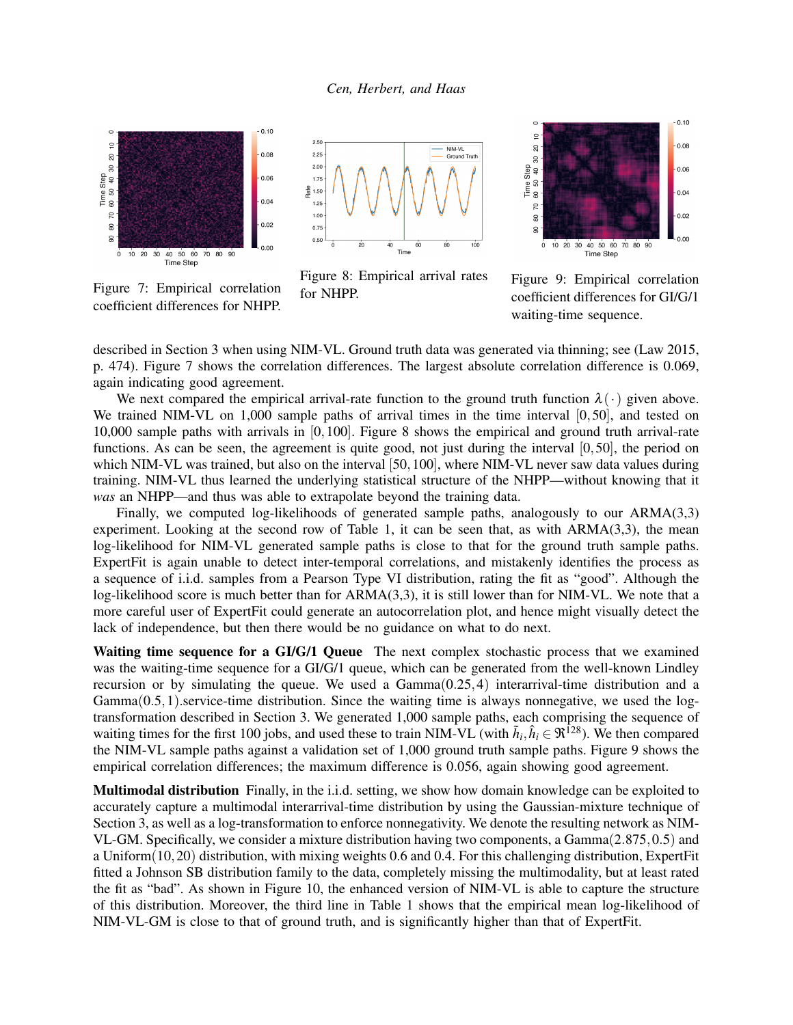<span id="page-9-0"></span>

Figure 7: Empirical correlation coefficient differences for NHPP.

Figure 8: Empirical arrival rates for NHPP.

Figure 9: Empirical correlation coefficient differences for GI/G/1 waiting-time sequence.

described in Section [3](#page-4-0) when using NIM-VL. Ground truth data was generated via thinning; see [\(Law 2015,](#page-11-0) p. 474). Figure [7](#page-9-0) shows the correlation differences. The largest absolute correlation difference is 0.069, again indicating good agreement.

We next compared the empirical arrival-rate function to the ground truth function  $\lambda(\cdot)$  given above. We trained NIM-VL on 1,000 sample paths of arrival times in the time interval [0,50], and tested on 10,000 sample paths with arrivals in [0,100]. Figure [8](#page-9-0) shows the empirical and ground truth arrival-rate functions. As can be seen, the agreement is quite good, not just during the interval [0,50], the period on which NIM-VL was trained, but also on the interval [50,100], where NIM-VL never saw data values during training. NIM-VL thus learned the underlying statistical structure of the NHPP—without knowing that it *was* an NHPP—and thus was able to extrapolate beyond the training data.

Finally, we computed log-likelihoods of generated sample paths, analogously to our ARMA(3,3) experiment. Looking at the second row of Table [1,](#page-8-0) it can be seen that, as with  $ARMA(3,3)$ , the mean log-likelihood for NIM-VL generated sample paths is close to that for the ground truth sample paths. ExpertFit is again unable to detect inter-temporal correlations, and mistakenly identifies the process as a sequence of i.i.d. samples from a Pearson Type VI distribution, rating the fit as "good". Although the log-likelihood score is much better than for ARMA(3,3), it is still lower than for NIM-VL. We note that a more careful user of ExpertFit could generate an autocorrelation plot, and hence might visually detect the lack of independence, but then there would be no guidance on what to do next.

Waiting time sequence for a GI/G/1 Queue The next complex stochastic process that we examined was the waiting-time sequence for a GI/G/1 queue, which can be generated from the well-known Lindley recursion or by simulating the queue. We used a  $Gamma(0.25, 4)$  interarrival-time distribution and a  $Gamma(0.5,1)$ .service-time distribution. Since the waiting time is always nonnegative, we used the logtransformation described in Section [3.](#page-4-0) We generated 1,000 sample paths, each comprising the sequence of waiting times for the first 100 jobs, and used these to train NIM-VL (with  $\tilde{h}_i, \hat{h}_i \in \Re^{128}$ ). We then compared the NIM-VL sample paths against a validation set of 1,000 ground truth sample paths. Figure [9](#page-9-0) shows the empirical correlation differences; the maximum difference is 0.056, again showing good agreement.

Multimodal distribution Finally, in the i.i.d. setting, we show how domain knowledge can be exploited to accurately capture a multimodal interarrival-time distribution by using the Gaussian-mixture technique of Section [3,](#page-4-0) as well as a log-transformation to enforce nonnegativity. We denote the resulting network as NIM-VL-GM. Specifically, we consider a mixture distribution having two components, a Gamma(2.875,0.5) and a Uniform(10,20) distribution, with mixing weights 0.6 and 0.4. For this challenging distribution, ExpertFit fitted a Johnson SB distribution family to the data, completely missing the multimodality, but at least rated the fit as "bad". As shown in Figure [10,](#page-10-0) the enhanced version of NIM-VL is able to capture the structure of this distribution. Moreover, the third line in Table [1](#page-8-0) shows that the empirical mean log-likelihood of NIM-VL-GM is close to that of ground truth, and is significantly higher than that of ExpertFit.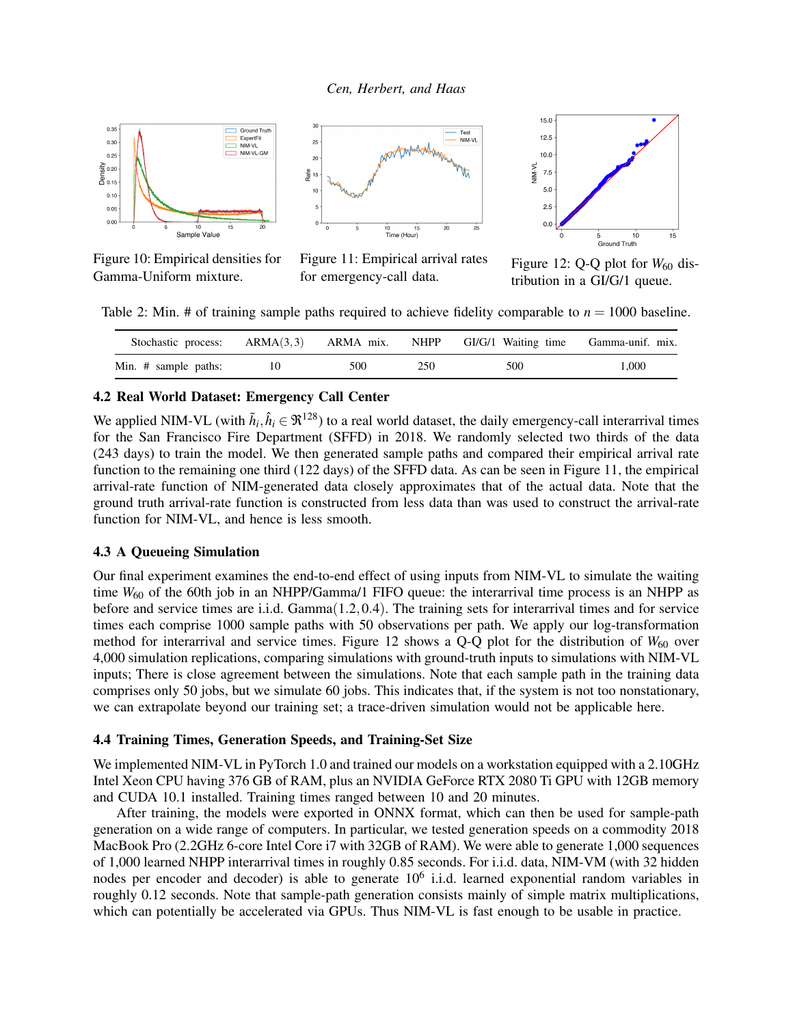<span id="page-10-0"></span>

Figure 10: Empirical densities for Gamma-Uniform mixture.



Figure 11: Empirical arrival rates for emergency-call data.



Figure 12: Q-Q plot for  $W_{60}$  distribution in a GI/G/1 queue.

<span id="page-10-1"></span>Table 2: Min. # of training sample paths required to achieve fidelity comparable to  $n = 1000$  baseline.

| Stochastic process:  |    | $ARMA(3,3)$ $ARMA mix$ . | <b>NHPP</b> | GI/G/1 Waiting time | Gamma-unif. mix. |
|----------------------|----|--------------------------|-------------|---------------------|------------------|
| Min. # sample paths: | 10 | 500                      | 250         | 500                 | 000!             |

### 4.2 Real World Dataset: Emergency Call Center

We applied NIM-VL (with  $\tilde{h}_i, \hat{h}_i \in \Re^{128}$ ) to a real world dataset, the daily emergency-call interarrival times for the San Francisco Fire Department (SFFD) in 2018. We randomly selected two thirds of the data (243 days) to train the model. We then generated sample paths and compared their empirical arrival rate function to the remaining one third (122 days) of the SFFD data. As can be seen in Figure [11,](#page-10-0) the empirical arrival-rate function of NIM-generated data closely approximates that of the actual data. Note that the ground truth arrival-rate function is constructed from less data than was used to construct the arrival-rate function for NIM-VL, and hence is less smooth.

### 4.3 A Queueing Simulation

Our final experiment examines the end-to-end effect of using inputs from NIM-VL to simulate the waiting time  $W_{60}$  of the 60th job in an NHPP/Gamma/1 FIFO queue: the interarrival time process is an NHPP as before and service times are i.i.d. Gamma(1.2,0.4). The training sets for interarrival times and for service times each comprise 1000 sample paths with 50 observations per path. We apply our log-transformation method for interarrival and service times. Figure [12](#page-10-0) shows a  $Q-Q$  plot for the distribution of  $W_{60}$  over 4,000 simulation replications, comparing simulations with ground-truth inputs to simulations with NIM-VL inputs; There is close agreement between the simulations. Note that each sample path in the training data comprises only 50 jobs, but we simulate 60 jobs. This indicates that, if the system is not too nonstationary, we can extrapolate beyond our training set; a trace-driven simulation would not be applicable here.

### 4.4 Training Times, Generation Speeds, and Training-Set Size

We implemented NIM-VL in PyTorch 1.0 and trained our models on a workstation equipped with a 2.10GHz Intel Xeon CPU having 376 GB of RAM, plus an NVIDIA GeForce RTX 2080 Ti GPU with 12GB memory and CUDA 10.1 installed. Training times ranged between 10 and 20 minutes.

After training, the models were exported in ONNX format, which can then be used for sample-path generation on a wide range of computers. In particular, we tested generation speeds on a commodity 2018 MacBook Pro (2.2GHz 6-core Intel Core i7 with 32GB of RAM). We were able to generate 1,000 sequences of 1,000 learned NHPP interarrival times in roughly 0.85 seconds. For i.i.d. data, NIM-VM (with 32 hidden nodes per encoder and decoder) is able to generate 10<sup>6</sup> i.i.d. learned exponential random variables in roughly 0.12 seconds. Note that sample-path generation consists mainly of simple matrix multiplications, which can potentially be accelerated via GPUs. Thus NIM-VL is fast enough to be usable in practice.